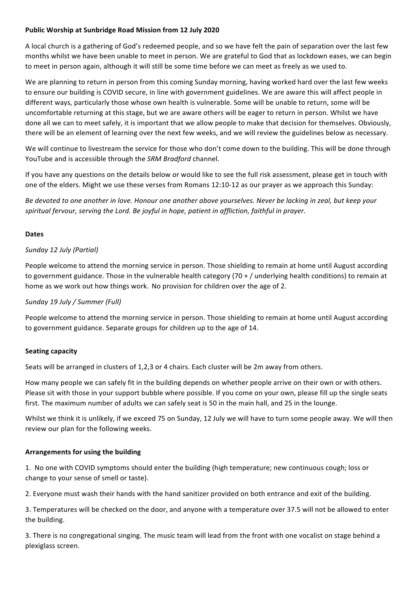# Public Worship at Sunbridge Road Mission from 12 July 2020

A local church is a gathering of God's redeemed people, and so we have felt the pain of separation over the last few months whilst we have been unable to meet in person. We are grateful to God that as lockdown eases, we can begin to meet in person again, although it will still be some time before we can meet as freely as we used to.

We are planning to return in person from this coming Sunday morning, having worked hard over the last few weeks to ensure our building is COVID secure, in line with government guidelines. We are aware this will affect people in different ways, particularly those whose own health is vulnerable. Some will be unable to return, some will be uncomfortable returning at this stage, but we are aware others will be eager to return in person. Whilst we have done all we can to meet safely, it is important that we allow people to make that decision for themselves. Obviously, there will be an element of learning over the next few weeks, and we will review the guidelines below as necessary.

We will continue to livestream the service for those who don't come down to the building. This will be done through YouTube and is accessible through the *SRM Bradford* channel.

If you have any questions on the details below or would like to see the full risk assessment, please get in touch with one of the elders. Might we use these verses from Romans 12:10-12 as our prayer as we approach this Sunday:

Be devoted to one another in love. Honour one another above yourselves. Never be lacking in zeal, but keep your spiritual fervour, serving the Lord. Be joyful in hope, patient in affliction, faithful in prayer.

### **Dates**

## *Sunday 12 July (Partial)*

People welcome to attend the morning service in person. Those shielding to remain at home until August according to government guidance. Those in the vulnerable health category  $(70 + / \text{underlying health conditions})$  to remain at home as we work out how things work. No provision for children over the age of 2.

### *Sunday 19 July / Summer (Full)*

People welcome to attend the morning service in person. Those shielding to remain at home until August according to government guidance. Separate groups for children up to the age of 14.

### **Seating capacity**

Seats will be arranged in clusters of 1,2,3 or 4 chairs. Each cluster will be 2m away from others.

How many people we can safely fit in the building depends on whether people arrive on their own or with others. Please sit with those in your support bubble where possible. If you come on your own, please fill up the single seats first. The maximum number of adults we can safely seat is 50 in the main hall, and 25 in the lounge.

Whilst we think it is unlikely, if we exceed 75 on Sunday, 12 July we will have to turn some people away. We will then review our plan for the following weeks.

### **Arrangements for using the building**

1. No one with COVID symptoms should enter the building (high temperature; new continuous cough; loss or change to your sense of smell or taste).

2. Everyone must wash their hands with the hand sanitizer provided on both entrance and exit of the building.

3. Temperatures will be checked on the door, and anyone with a temperature over 37.5 will not be allowed to enter the building.

3. There is no congregational singing. The music team will lead from the front with one vocalist on stage behind a plexiglass screen.